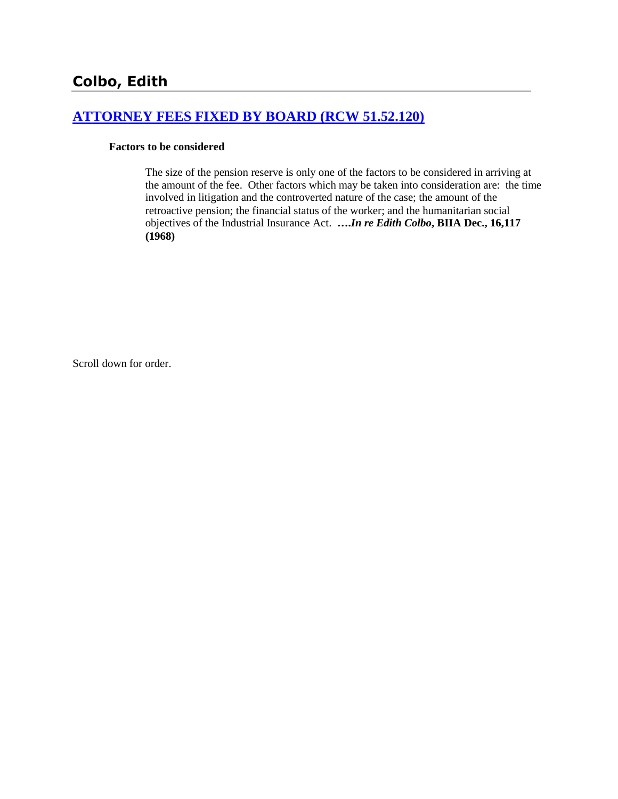# **[ATTORNEY FEES FIXED BY BOARD \(RCW 51.52.120\)](http://www.biia.wa.gov/SDSubjectIndex.html#ATTORNEY_FEES_FIXED_BY_BOARD)**

#### **Factors to be considered**

The size of the pension reserve is only one of the factors to be considered in arriving at the amount of the fee. Other factors which may be taken into consideration are: the time involved in litigation and the controverted nature of the case; the amount of the retroactive pension; the financial status of the worker; and the humanitarian social objectives of the Industrial Insurance Act. **….***In re Edith Colbo***, BIIA Dec., 16,117 (1968)** 

Scroll down for order.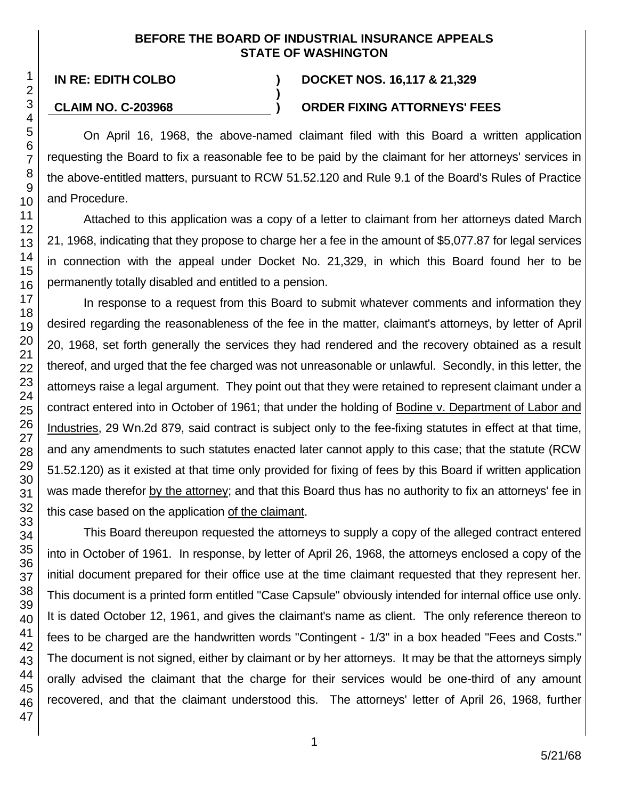### **BEFORE THE BOARD OF INDUSTRIAL INSURANCE APPEALS STATE OF WASHINGTON**

**)**

## **IN RE: EDITH COLBO ) DOCKET NOS. 16,117 & 21,329**

## **CLAIM NO. C-203968 ) ORDER FIXING ATTORNEYS' FEES**

On April 16, 1968, the above-named claimant filed with this Board a written application requesting the Board to fix a reasonable fee to be paid by the claimant for her attorneys' services in the above-entitled matters, pursuant to RCW 51.52.120 and Rule 9.1 of the Board's Rules of Practice and Procedure.

Attached to this application was a copy of a letter to claimant from her attorneys dated March 21, 1968, indicating that they propose to charge her a fee in the amount of \$5,077.87 for legal services in connection with the appeal under Docket No. 21,329, in which this Board found her to be permanently totally disabled and entitled to a pension.

In response to a request from this Board to submit whatever comments and information they desired regarding the reasonableness of the fee in the matter, claimant's attorneys, by letter of April 20, 1968, set forth generally the services they had rendered and the recovery obtained as a result thereof, and urged that the fee charged was not unreasonable or unlawful. Secondly, in this letter, the attorneys raise a legal argument. They point out that they were retained to represent claimant under a contract entered into in October of 1961; that under the holding of Bodine v. Department of Labor and Industries, 29 Wn.2d 879, said contract is subject only to the fee-fixing statutes in effect at that time, and any amendments to such statutes enacted later cannot apply to this case; that the statute (RCW 51.52.120) as it existed at that time only provided for fixing of fees by this Board if written application was made therefor by the attorney; and that this Board thus has no authority to fix an attorneys' fee in this case based on the application of the claimant.

This Board thereupon requested the attorneys to supply a copy of the alleged contract entered into in October of 1961. In response, by letter of April 26, 1968, the attorneys enclosed a copy of the initial document prepared for their office use at the time claimant requested that they represent her. This document is a printed form entitled "Case Capsule" obviously intended for internal office use only. It is dated October 12, 1961, and gives the claimant's name as client. The only reference thereon to fees to be charged are the handwritten words "Contingent - 1/3" in a box headed "Fees and Costs." The document is not signed, either by claimant or by her attorneys. It may be that the attorneys simply orally advised the claimant that the charge for their services would be one-third of any amount recovered, and that the claimant understood this. The attorneys' letter of April 26, 1968, further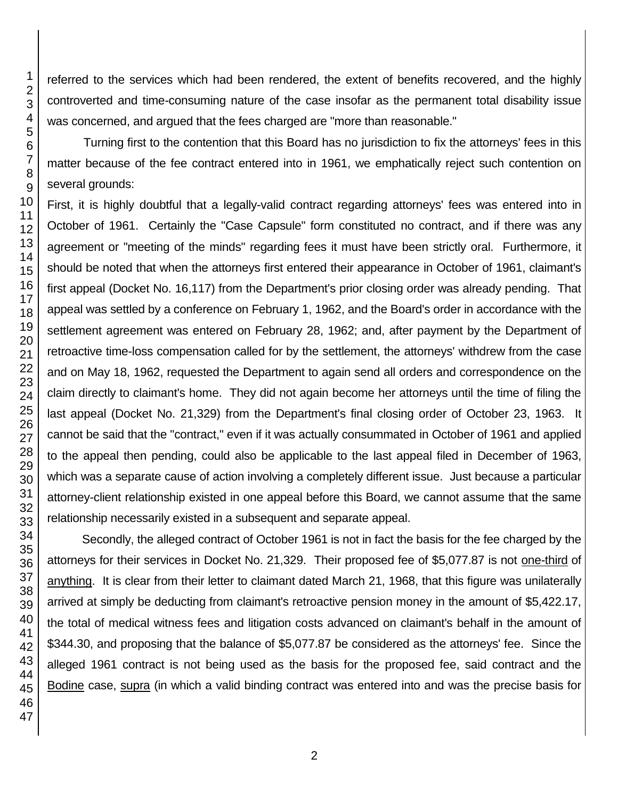referred to the services which had been rendered, the extent of benefits recovered, and the highly controverted and time-consuming nature of the case insofar as the permanent total disability issue was concerned, and argued that the fees charged are "more than reasonable."

Turning first to the contention that this Board has no jurisdiction to fix the attorneys' fees in this matter because of the fee contract entered into in 1961, we emphatically reject such contention on several grounds:

First, it is highly doubtful that a legally-valid contract regarding attorneys' fees was entered into in October of 1961. Certainly the "Case Capsule" form constituted no contract, and if there was any agreement or "meeting of the minds" regarding fees it must have been strictly oral. Furthermore, it should be noted that when the attorneys first entered their appearance in October of 1961, claimant's first appeal (Docket No. 16,117) from the Department's prior closing order was already pending. That appeal was settled by a conference on February 1, 1962, and the Board's order in accordance with the settlement agreement was entered on February 28, 1962; and, after payment by the Department of retroactive time-loss compensation called for by the settlement, the attorneys' withdrew from the case and on May 18, 1962, requested the Department to again send all orders and correspondence on the claim directly to claimant's home. They did not again become her attorneys until the time of filing the last appeal (Docket No. 21,329) from the Department's final closing order of October 23, 1963. It cannot be said that the "contract," even if it was actually consummated in October of 1961 and applied to the appeal then pending, could also be applicable to the last appeal filed in December of 1963, which was a separate cause of action involving a completely different issue. Just because a particular attorney-client relationship existed in one appeal before this Board, we cannot assume that the same relationship necessarily existed in a subsequent and separate appeal.

Secondly, the alleged contract of October 1961 is not in fact the basis for the fee charged by the attorneys for their services in Docket No. 21,329. Their proposed fee of \$5,077.87 is not one-third of anything. It is clear from their letter to claimant dated March 21, 1968, that this figure was unilaterally arrived at simply be deducting from claimant's retroactive pension money in the amount of \$5,422.17, the total of medical witness fees and litigation costs advanced on claimant's behalf in the amount of \$344.30, and proposing that the balance of \$5,077.87 be considered as the attorneys' fee. Since the alleged 1961 contract is not being used as the basis for the proposed fee, said contract and the Bodine case, supra (in which a valid binding contract was entered into and was the precise basis for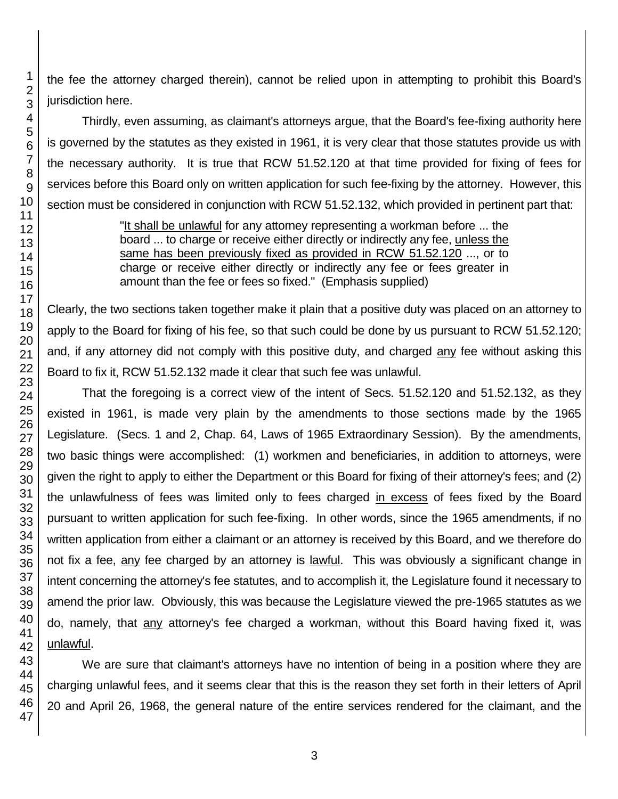the fee the attorney charged therein), cannot be relied upon in attempting to prohibit this Board's jurisdiction here.

Thirdly, even assuming, as claimant's attorneys argue, that the Board's fee-fixing authority here is governed by the statutes as they existed in 1961, it is very clear that those statutes provide us with the necessary authority. It is true that RCW 51.52.120 at that time provided for fixing of fees for services before this Board only on written application for such fee-fixing by the attorney. However, this section must be considered in conjunction with RCW 51.52.132, which provided in pertinent part that:

> "It shall be unlawful for any attorney representing a workman before ... the board ... to charge or receive either directly or indirectly any fee, unless the same has been previously fixed as provided in RCW 51.52.120 ..., or to charge or receive either directly or indirectly any fee or fees greater in amount than the fee or fees so fixed." (Emphasis supplied)

Clearly, the two sections taken together make it plain that a positive duty was placed on an attorney to apply to the Board for fixing of his fee, so that such could be done by us pursuant to RCW 51.52.120; and, if any attorney did not comply with this positive duty, and charged any fee without asking this Board to fix it, RCW 51.52.132 made it clear that such fee was unlawful.

That the foregoing is a correct view of the intent of Secs. 51.52.120 and 51.52.132, as they existed in 1961, is made very plain by the amendments to those sections made by the 1965 Legislature. (Secs. 1 and 2, Chap. 64, Laws of 1965 Extraordinary Session). By the amendments, two basic things were accomplished: (1) workmen and beneficiaries, in addition to attorneys, were given the right to apply to either the Department or this Board for fixing of their attorney's fees; and (2) the unlawfulness of fees was limited only to fees charged in excess of fees fixed by the Board pursuant to written application for such fee-fixing. In other words, since the 1965 amendments, if no written application from either a claimant or an attorney is received by this Board, and we therefore do not fix a fee, any fee charged by an attorney is lawful. This was obviously a significant change in intent concerning the attorney's fee statutes, and to accomplish it, the Legislature found it necessary to amend the prior law. Obviously, this was because the Legislature viewed the pre-1965 statutes as we do, namely, that any attorney's fee charged a workman, without this Board having fixed it, was unlawful.

We are sure that claimant's attorneys have no intention of being in a position where they are charging unlawful fees, and it seems clear that this is the reason they set forth in their letters of April 20 and April 26, 1968, the general nature of the entire services rendered for the claimant, and the

1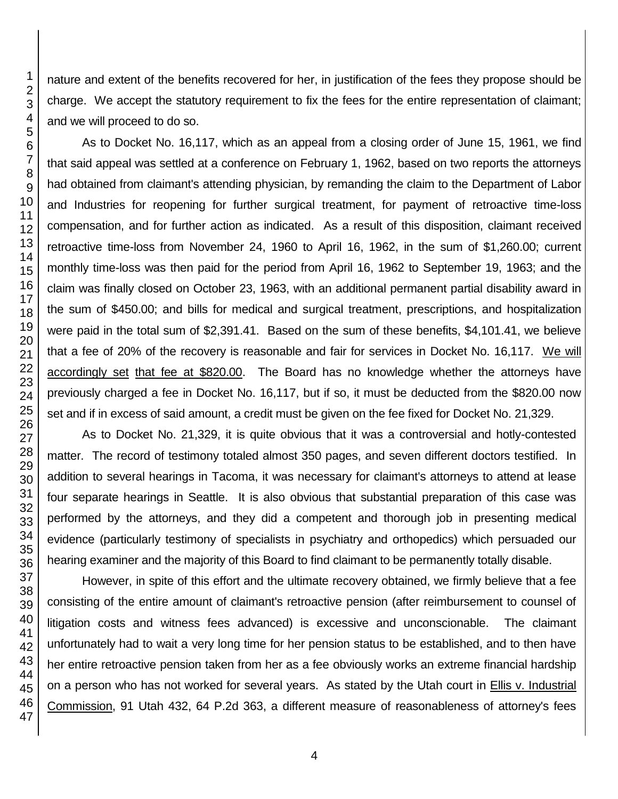nature and extent of the benefits recovered for her, in justification of the fees they propose should be charge. We accept the statutory requirement to fix the fees for the entire representation of claimant; and we will proceed to do so. As to Docket No. 16,117, which as an appeal from a closing order of June 15, 1961, we find that said appeal was settled at a conference on February 1, 1962, based on two reports the attorneys

had obtained from claimant's attending physician, by remanding the claim to the Department of Labor and Industries for reopening for further surgical treatment, for payment of retroactive time-loss compensation, and for further action as indicated. As a result of this disposition, claimant received retroactive time-loss from November 24, 1960 to April 16, 1962, in the sum of \$1,260.00; current monthly time-loss was then paid for the period from April 16, 1962 to September 19, 1963; and the claim was finally closed on October 23, 1963, with an additional permanent partial disability award in the sum of \$450.00; and bills for medical and surgical treatment, prescriptions, and hospitalization were paid in the total sum of \$2,391.41. Based on the sum of these benefits, \$4,101.41, we believe that a fee of 20% of the recovery is reasonable and fair for services in Docket No. 16,117. We will accordingly set that fee at \$820.00. The Board has no knowledge whether the attorneys have previously charged a fee in Docket No. 16,117, but if so, it must be deducted from the \$820.00 now set and if in excess of said amount, a credit must be given on the fee fixed for Docket No. 21,329.

As to Docket No. 21,329, it is quite obvious that it was a controversial and hotly-contested matter. The record of testimony totaled almost 350 pages, and seven different doctors testified. In addition to several hearings in Tacoma, it was necessary for claimant's attorneys to attend at lease four separate hearings in Seattle. It is also obvious that substantial preparation of this case was performed by the attorneys, and they did a competent and thorough job in presenting medical evidence (particularly testimony of specialists in psychiatry and orthopedics) which persuaded our hearing examiner and the majority of this Board to find claimant to be permanently totally disable.

However, in spite of this effort and the ultimate recovery obtained, we firmly believe that a fee consisting of the entire amount of claimant's retroactive pension (after reimbursement to counsel of litigation costs and witness fees advanced) is excessive and unconscionable. The claimant unfortunately had to wait a very long time for her pension status to be established, and to then have her entire retroactive pension taken from her as a fee obviously works an extreme financial hardship on a person who has not worked for several years. As stated by the Utah court in Ellis v. Industrial Commission, 91 Utah 432, 64 P.2d 363, a different measure of reasonableness of attorney's fees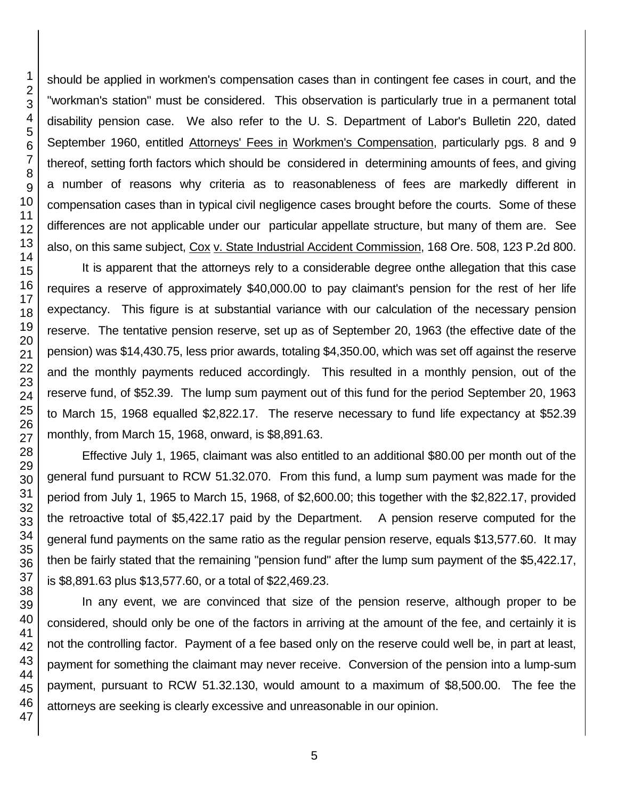should be applied in workmen's compensation cases than in contingent fee cases in court, and the "workman's station" must be considered. This observation is particularly true in a permanent total disability pension case. We also refer to the U. S. Department of Labor's Bulletin 220, dated September 1960, entitled Attorneys' Fees in Workmen's Compensation, particularly pgs. 8 and 9 thereof, setting forth factors which should be considered in determining amounts of fees, and giving a number of reasons why criteria as to reasonableness of fees are markedly different in compensation cases than in typical civil negligence cases brought before the courts. Some of these differences are not applicable under our particular appellate structure, but many of them are. See also, on this same subject, Cox v. State Industrial Accident Commission, 168 Ore. 508, 123 P.2d 800.

It is apparent that the attorneys rely to a considerable degree onthe allegation that this case requires a reserve of approximately \$40,000.00 to pay claimant's pension for the rest of her life expectancy. This figure is at substantial variance with our calculation of the necessary pension reserve. The tentative pension reserve, set up as of September 20, 1963 (the effective date of the pension) was \$14,430.75, less prior awards, totaling \$4,350.00, which was set off against the reserve and the monthly payments reduced accordingly. This resulted in a monthly pension, out of the reserve fund, of \$52.39. The lump sum payment out of this fund for the period September 20, 1963 to March 15, 1968 equalled \$2,822.17. The reserve necessary to fund life expectancy at \$52.39 monthly, from March 15, 1968, onward, is \$8,891.63.

Effective July 1, 1965, claimant was also entitled to an additional \$80.00 per month out of the general fund pursuant to RCW 51.32.070. From this fund, a lump sum payment was made for the period from July 1, 1965 to March 15, 1968, of \$2,600.00; this together with the \$2,822.17, provided the retroactive total of \$5,422.17 paid by the Department. A pension reserve computed for the general fund payments on the same ratio as the regular pension reserve, equals \$13,577.60. It may then be fairly stated that the remaining "pension fund" after the lump sum payment of the \$5,422.17, is \$8,891.63 plus \$13,577.60, or a total of \$22,469.23.

In any event, we are convinced that size of the pension reserve, although proper to be considered, should only be one of the factors in arriving at the amount of the fee, and certainly it is not the controlling factor. Payment of a fee based only on the reserve could well be, in part at least, payment for something the claimant may never receive. Conversion of the pension into a lump-sum payment, pursuant to RCW 51.32.130, would amount to a maximum of \$8,500.00. The fee the attorneys are seeking is clearly excessive and unreasonable in our opinion.